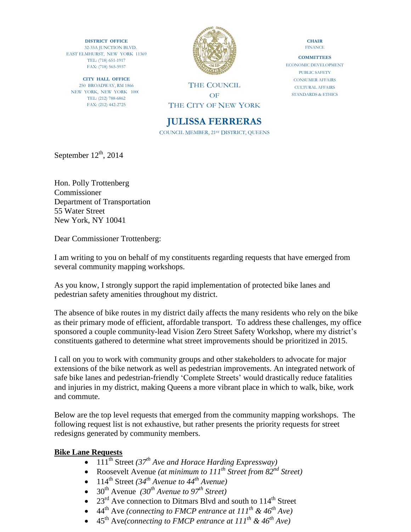**DISTRICT OFFICE** 32-33A JUNCTION BLVD. EAST ELMHURST, NEW YORK 11369 TEL: (718) 651-1917 FAX: (718) 565-5937

**CITY HALL OFFICE** 250 BROADWAY, RM 1866 NEW YORK, NEW YORK 1000 TEL: (212) 788-6862 FAX: (212) 442-2725



THE COUNCIL OF THE CITY OF NEW YORK

# **JULISSA FERRERAS**

COUNCIL MEMBER, 21ST DISTRICT, QUEENS

**CHAIR FINANCE** 

**COMMITTEES** ECONOMIC DEVELOPMENT PUBLIC SAFETY CONSUMER AFFAIRS CULTURAL AFFAIRS STANDARDS & ETHICS

September  $12<sup>th</sup>$ , 2014

Hon. Polly Trottenberg Commissioner Department of Transportation 55 Water Street New York, NY 10041

Dear Commissioner Trottenberg:

I am writing to you on behalf of my constituents regarding requests that have emerged from several community mapping workshops.

As you know, I strongly support the rapid implementation of protected bike lanes and pedestrian safety amenities throughout my district.

The absence of bike routes in my district daily affects the many residents who rely on the bike as their primary mode of efficient, affordable transport. To address these challenges, my office sponsored a couple community-lead Vision Zero Street Safety Workshop, where my district's constituents gathered to determine what street improvements should be prioritized in 2015.

I call on you to work with community groups and other stakeholders to advocate for major extensions of the bike network as well as pedestrian improvements. An integrated network of safe bike lanes and pedestrian-friendly 'Complete Streets' would drastically reduce fatalities and injuries in my district, making Queens a more vibrant place in which to walk, bike, work and commute.

Below are the top level requests that emerged from the community mapping workshops. The following request list is not exhaustive, but rather presents the priority requests for street redesigns generated by community members.

#### **Bike Lane Requests**

- 111<sup>th</sup> Street *(37<sup>th</sup> Ave and Horace Harding Expressway)*
- Roosevelt Avenue *(at minimum to 111th Street from 82nd Street)*
- $114^{\text{th}}$  Street  $(34^{\text{th}}$  *Avenue to*  $44^{\text{th}}$  *Avenue*)
- $30^{th}$  Avenue *(30<sup>th</sup> Avenue to 97<sup>th</sup> Street)*
- 23 $^{rd}$  Ave connection to Ditmars Blvd and south to  $114^{th}$  Street
- 44th Ave *(connecting to FMCP entrance at 111th & 46th Ave)*
- 45th Ave*(connecting to FMCP entrance at 111th & 46th Ave)*